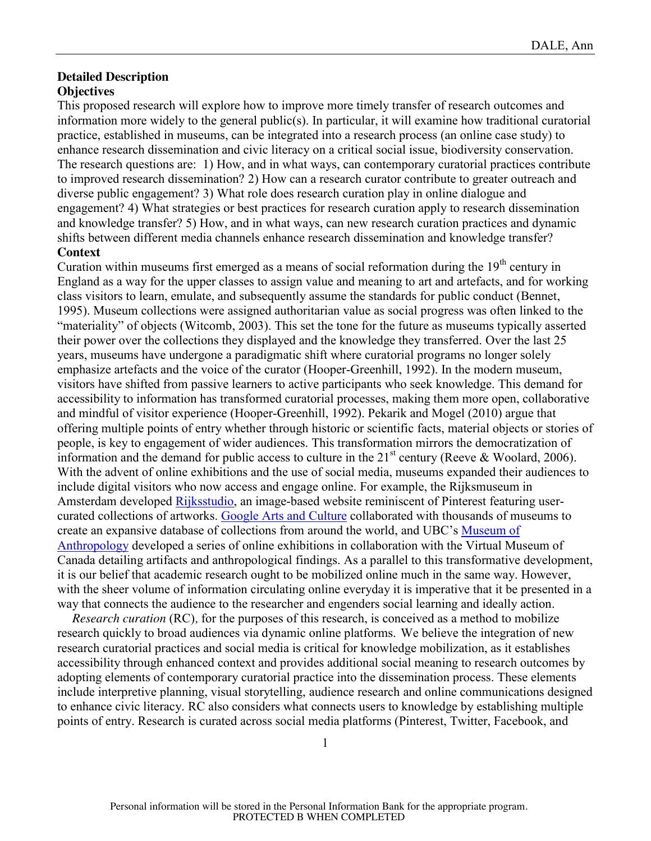## **Detailed Description Objectives**

This proposed research will explore how to improve more timely transfer of research outcomes and information more widely to the general public(s). In particular, it will examine how traditional curatorial practice, established in museums, can be integrated into a research process (an online case study) to enhance research dissemination and civic literacy on a critical social issue, biodiversity conservation. The research questions are: 1) How, and in what ways, can contemporary curatorial practices contribute to improved research dissemination? 2) How can a research curator contribute to greater outreach and diverse public engagement? 3) What role does research curation play in online dialogue and engagement? 4) What strategies or best practices for research curation apply to research dissemination and knowledge transfer? 5) How, and in what ways, can new research curation practices and dynamic shifts between different media channels enhance research dissemination and knowledge transfer? **Context**

Curation within museums first emerged as a means of social reformation during the  $19<sup>th</sup>$  century in England as a way for the upper classes to assign value and meaning to art and artefacts, and for working class visitors to learn, emulate, and subsequently assume the standards for public conduct (Bennet, 1995). Museum collections were assigned authoritarian value as social progress was often linked to the "materiality" of objects (Witcomb, 2003). This set the tone for the future as museums typically asserted their power over the collections they displayed and the knowledge they transferred. Over the last 25 years, museums have undergone a paradigmatic shift where curatorial programs no longer solely emphasize artefacts and the voice of the curator (Hooper-Greenhill, 1992). In the modern museum, visitors have shifted from passive learners to active participants who seek knowledge. This demand for accessibility to information has transformed curatorial processes, making them more open, collaborative and mindful of visitor experience (Hooper-Greenhill, 1992). Pekarik and Mogel (2010) argue that offering multiple points of entry whether through historic or scientific facts, material objects or stories of people, is key to engagement of wider audiences. This transformation mirrors the democratization of information and the demand for public access to culture in the  $21<sup>st</sup>$  century (Reeve & Woolard, 2006). With the advent of online exhibitions and the use of social media, museums expanded their audiences to include digital visitors who now access and engage online. For example, the Rijksmuseum in Amsterdam developed Rijksstudio, an image-based website reminiscent of Pinterest featuring usercurated collections of artworks. Google Arts and Culture collaborated with thousands of museums to create an expansive database of collections from around the world, and UBC's Museum of Anthropology developed a series of online exhibitions in collaboration with the Virtual Museum of Canada detailing artifacts and anthropological findings. As a parallel to this transformative development, it is our belief that academic research ought to be mobilized online much in the same way. However, with the sheer volume of information circulating online everyday it is imperative that it be presented in a way that connects the audience to the researcher and engenders social learning and ideally action.

*Research curation* (RC)*,* for the purposes of this research, is conceived as a method to mobilize research quickly to broad audiences via dynamic online platforms. We believe the integration of new research curatorial practices and social media is critical for knowledge mobilization, as it establishes accessibility through enhanced context and provides additional social meaning to research outcomes by adopting elements of contemporary curatorial practice into the dissemination process. These elements include interpretive planning, visual storytelling, audience research and online communications designed to enhance civic literacy. RC also considers what connects users to knowledge by establishing multiple points of entry. Research is curated across social media platforms (Pinterest, Twitter, Facebook, and

1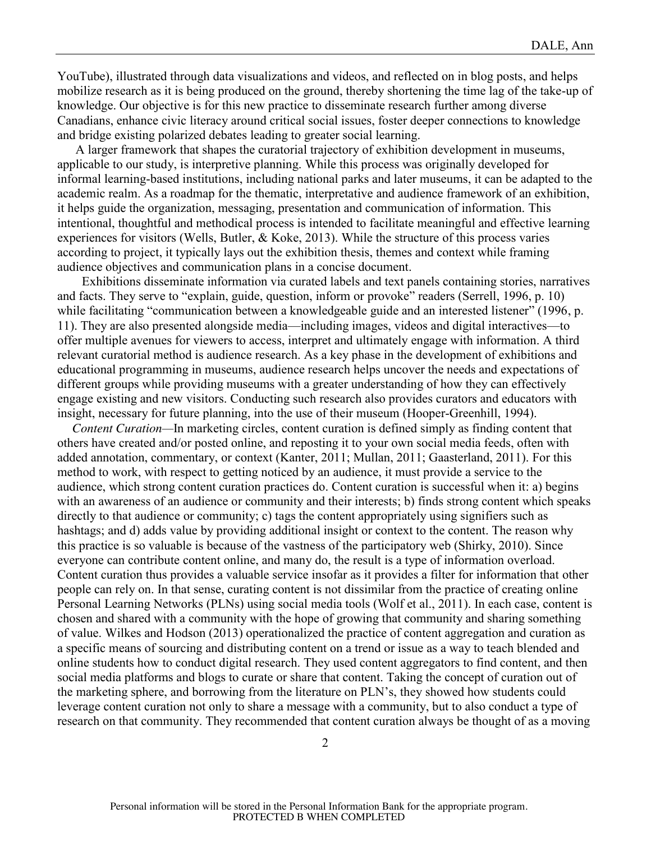YouTube), illustrated through data visualizations and videos, and reflected on in blog posts, and helps mobilize research as it is being produced on the ground, thereby shortening the time lag of the take-up of knowledge. Our objective is for this new practice to disseminate research further among diverse Canadians, enhance civic literacy around critical social issues, foster deeper connections to knowledge and bridge existing polarized debates leading to greater social learning.

A larger framework that shapes the curatorial trajectory of exhibition development in museums, applicable to our study, is interpretive planning. While this process was originally developed for informal learning-based institutions, including national parks and later museums, it can be adapted to the academic realm. As a roadmap for the thematic, interpretative and audience framework of an exhibition, it helps guide the organization, messaging, presentation and communication of information. This intentional, thoughtful and methodical process is intended to facilitate meaningful and effective learning experiences for visitors (Wells, Butler, & Koke, 2013). While the structure of this process varies according to project, it typically lays out the exhibition thesis, themes and context while framing audience objectives and communication plans in a concise document.

 Exhibitions disseminate information via curated labels and text panels containing stories, narratives and facts. They serve to "explain, guide, question, inform or provoke" readers (Serrell, 1996, p. 10) while facilitating "communication between a knowledgeable guide and an interested listener" (1996, p. 11). They are also presented alongside media—including images, videos and digital interactives—to offer multiple avenues for viewers to access, interpret and ultimately engage with information. A third relevant curatorial method is audience research. As a key phase in the development of exhibitions and educational programming in museums, audience research helps uncover the needs and expectations of different groups while providing museums with a greater understanding of how they can effectively engage existing and new visitors. Conducting such research also provides curators and educators with insight, necessary for future planning, into the use of their museum (Hooper-Greenhill, 1994).

*Content Curation—*In marketing circles, content curation is defined simply as finding content that others have created and/or posted online, and reposting it to your own social media feeds, often with added annotation, commentary, or context (Kanter, 2011; Mullan, 2011; Gaasterland, 2011). For this method to work, with respect to getting noticed by an audience, it must provide a service to the audience, which strong content curation practices do. Content curation is successful when it: a) begins with an awareness of an audience or community and their interests; b) finds strong content which speaks directly to that audience or community; c) tags the content appropriately using signifiers such as hashtags; and d) adds value by providing additional insight or context to the content. The reason why this practice is so valuable is because of the vastness of the participatory web (Shirky, 2010). Since everyone can contribute content online, and many do, the result is a type of information overload. Content curation thus provides a valuable service insofar as it provides a filter for information that other people can rely on. In that sense, curating content is not dissimilar from the practice of creating online Personal Learning Networks (PLNs) using social media tools (Wolf et al., 2011). In each case, content is chosen and shared with a community with the hope of growing that community and sharing something of value. Wilkes and Hodson (2013) operationalized the practice of content aggregation and curation as a specific means of sourcing and distributing content on a trend or issue as a way to teach blended and online students how to conduct digital research. They used content aggregators to find content, and then social media platforms and blogs to curate or share that content. Taking the concept of curation out of the marketing sphere, and borrowing from the literature on PLN's, they showed how students could leverage content curation not only to share a message with a community, but to also conduct a type of research on that community. They recommended that content curation always be thought of as a moving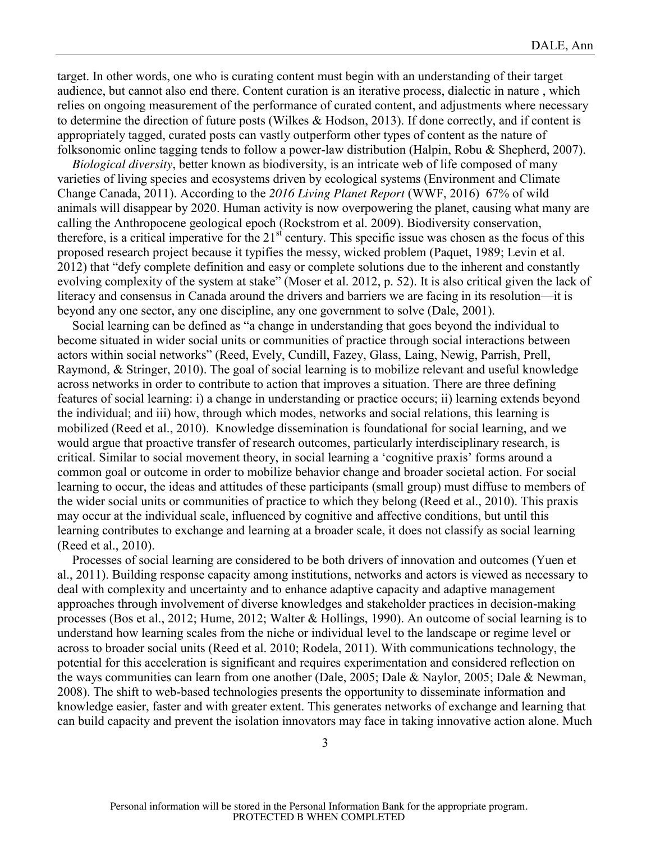target. In other words, one who is curating content must begin with an understanding of their target audience, but cannot also end there. Content curation is an iterative process, dialectic in nature , which relies on ongoing measurement of the performance of curated content, and adjustments where necessary to determine the direction of future posts (Wilkes & Hodson, 2013). If done correctly, and if content is appropriately tagged, curated posts can vastly outperform other types of content as the nature of folksonomic online tagging tends to follow a power-law distribution (Halpin, Robu & Shepherd, 2007).

*Biological diversity*, better known as biodiversity, is an intricate web of life composed of many varieties of living species and ecosystems driven by ecological systems (Environment and Climate Change Canada, 2011). According to the *2016 Living Planet Report* (WWF, 2016) 67% of wild animals will disappear by 2020. Human activity is now overpowering the planet, causing what many are calling the Anthropocene geological epoch (Rockstrom et al. 2009). Biodiversity conservation, therefore, is a critical imperative for the  $21<sup>st</sup>$  century. This specific issue was chosen as the focus of this proposed research project because it typifies the messy, wicked problem (Paquet, 1989; Levin et al. 2012) that "defy complete definition and easy or complete solutions due to the inherent and constantly evolving complexity of the system at stake" (Moser et al. 2012, p. 52). It is also critical given the lack of literacy and consensus in Canada around the drivers and barriers we are facing in its resolution—it is beyond any one sector, any one discipline, any one government to solve (Dale, 2001).

Social learning can be defined as "a change in understanding that goes beyond the individual to become situated in wider social units or communities of practice through social interactions between actors within social networks" (Reed, Evely, Cundill, Fazey, Glass, Laing, Newig, Parrish, Prell, Raymond, & Stringer, 2010). The goal of social learning is to mobilize relevant and useful knowledge across networks in order to contribute to action that improves a situation. There are three defining features of social learning: i) a change in understanding or practice occurs; ii) learning extends beyond the individual; and iii) how, through which modes, networks and social relations, this learning is mobilized (Reed et al., 2010). Knowledge dissemination is foundational for social learning, and we would argue that proactive transfer of research outcomes, particularly interdisciplinary research, is critical. Similar to social movement theory, in social learning a 'cognitive praxis' forms around a common goal or outcome in order to mobilize behavior change and broader societal action. For social learning to occur, the ideas and attitudes of these participants (small group) must diffuse to members of the wider social units or communities of practice to which they belong (Reed et al., 2010). This praxis may occur at the individual scale, influenced by cognitive and affective conditions, but until this learning contributes to exchange and learning at a broader scale, it does not classify as social learning (Reed et al., 2010).

Processes of social learning are considered to be both drivers of innovation and outcomes (Yuen et al., 2011). Building response capacity among institutions, networks and actors is viewed as necessary to deal with complexity and uncertainty and to enhance adaptive capacity and adaptive management approaches through involvement of diverse knowledges and stakeholder practices in decision-making processes (Bos et al., 2012; Hume, 2012; Walter & Hollings, 1990). An outcome of social learning is to understand how learning scales from the niche or individual level to the landscape or regime level or across to broader social units (Reed et al. 2010; Rodela, 2011). With communications technology, the potential for this acceleration is significant and requires experimentation and considered reflection on the ways communities can learn from one another (Dale, 2005; Dale & Naylor, 2005; Dale & Newman, 2008). The shift to web-based technologies presents the opportunity to disseminate information and knowledge easier, faster and with greater extent. This generates networks of exchange and learning that can build capacity and prevent the isolation innovators may face in taking innovative action alone. Much

3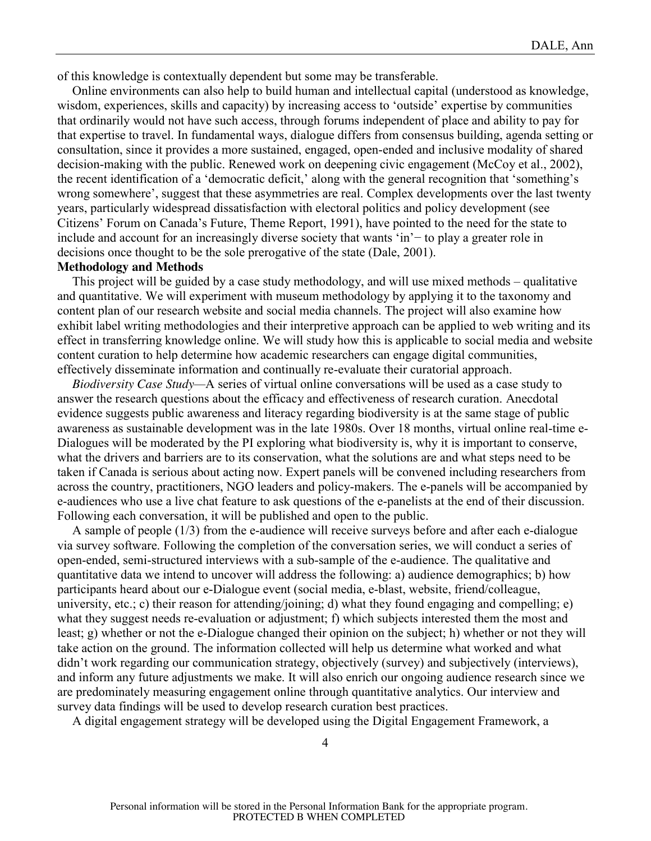of this knowledge is contextually dependent but some may be transferable.

Online environments can also help to build human and intellectual capital (understood as knowledge, wisdom, experiences, skills and capacity) by increasing access to 'outside' expertise by communities that ordinarily would not have such access, through forums independent of place and ability to pay for that expertise to travel. In fundamental ways, dialogue differs from consensus building, agenda setting or consultation, since it provides a more sustained, engaged, open-ended and inclusive modality of shared decision-making with the public. Renewed work on deepening civic engagement (McCoy et al., 2002), the recent identification of a 'democratic deficit,' along with the general recognition that 'something's wrong somewhere', suggest that these asymmetries are real. Complex developments over the last twenty years, particularly widespread dissatisfaction with electoral politics and policy development (see Citizens' Forum on Canada's Future, Theme Report, 1991), have pointed to the need for the state to include and account for an increasingly diverse society that wants 'in'− to play a greater role in decisions once thought to be the sole prerogative of the state (Dale, 2001).

## **Methodology and Methods**

This project will be guided by a case study methodology, and will use mixed methods – qualitative and quantitative. We will experiment with museum methodology by applying it to the taxonomy and content plan of our research website and social media channels. The project will also examine how exhibit label writing methodologies and their interpretive approach can be applied to web writing and its effect in transferring knowledge online. We will study how this is applicable to social media and website content curation to help determine how academic researchers can engage digital communities, effectively disseminate information and continually re-evaluate their curatorial approach.

*Biodiversity Case Study—*A series of virtual online conversations will be used as a case study to answer the research questions about the efficacy and effectiveness of research curation. Anecdotal evidence suggests public awareness and literacy regarding biodiversity is at the same stage of public awareness as sustainable development was in the late 1980s. Over 18 months, virtual online real-time e-Dialogues will be moderated by the PI exploring what biodiversity is, why it is important to conserve, what the drivers and barriers are to its conservation, what the solutions are and what steps need to be taken if Canada is serious about acting now. Expert panels will be convened including researchers from across the country, practitioners, NGO leaders and policy-makers. The e-panels will be accompanied by e-audiences who use a live chat feature to ask questions of the e-panelists at the end of their discussion. Following each conversation, it will be published and open to the public.

A sample of people (1/3) from the e-audience will receive surveys before and after each e-dialogue via survey software. Following the completion of the conversation series, we will conduct a series of open-ended, semi-structured interviews with a sub-sample of the e-audience. The qualitative and quantitative data we intend to uncover will address the following: a) audience demographics; b) how participants heard about our e-Dialogue event (social media, e-blast, website, friend/colleague, university, etc.; c) their reason for attending/joining; d) what they found engaging and compelling; e) what they suggest needs re-evaluation or adjustment; f) which subjects interested them the most and least; g) whether or not the e-Dialogue changed their opinion on the subject; h) whether or not they will take action on the ground. The information collected will help us determine what worked and what didn't work regarding our communication strategy, objectively (survey) and subjectively (interviews), and inform any future adjustments we make. It will also enrich our ongoing audience research since we are predominately measuring engagement online through quantitative analytics. Our interview and survey data findings will be used to develop research curation best practices.

A digital engagement strategy will be developed using the Digital Engagement Framework, a

4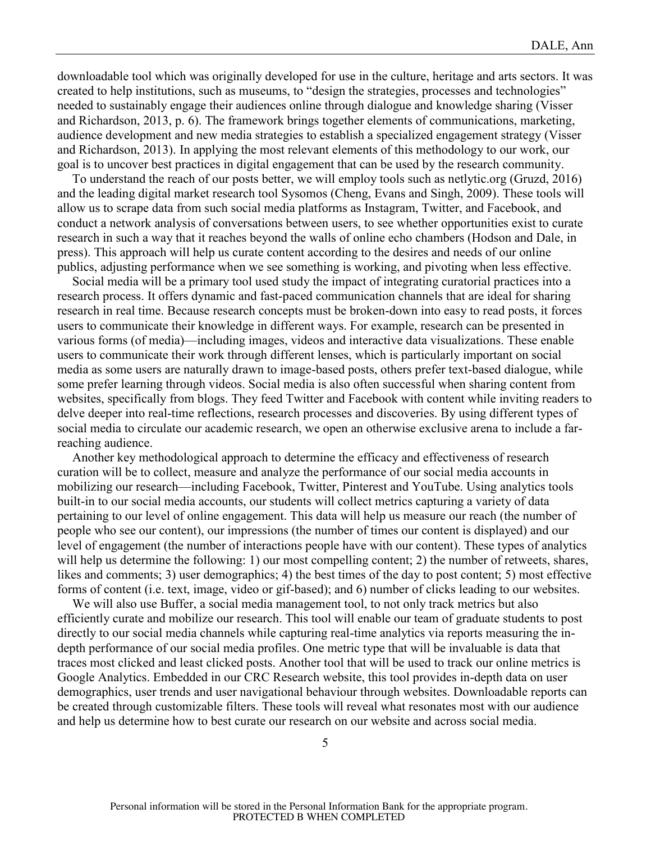downloadable tool which was originally developed for use in the culture, heritage and arts sectors. It was created to help institutions, such as museums, to "design the strategies, processes and technologies" needed to sustainably engage their audiences online through dialogue and knowledge sharing (Visser and Richardson, 2013, p. 6). The framework brings together elements of communications, marketing, audience development and new media strategies to establish a specialized engagement strategy (Visser and Richardson, 2013). In applying the most relevant elements of this methodology to our work, our goal is to uncover best practices in digital engagement that can be used by the research community.

To understand the reach of our posts better, we will employ tools such as netlytic.org (Gruzd, 2016) and the leading digital market research tool Sysomos (Cheng, Evans and Singh, 2009). These tools will allow us to scrape data from such social media platforms as Instagram, Twitter, and Facebook, and conduct a network analysis of conversations between users, to see whether opportunities exist to curate research in such a way that it reaches beyond the walls of online echo chambers (Hodson and Dale, in press). This approach will help us curate content according to the desires and needs of our online publics, adjusting performance when we see something is working, and pivoting when less effective.

Social media will be a primary tool used study the impact of integrating curatorial practices into a research process. It offers dynamic and fast-paced communication channels that are ideal for sharing research in real time. Because research concepts must be broken-down into easy to read posts, it forces users to communicate their knowledge in different ways. For example, research can be presented in various forms (of media)—including images, videos and interactive data visualizations. These enable users to communicate their work through different lenses, which is particularly important on social media as some users are naturally drawn to image-based posts, others prefer text-based dialogue, while some prefer learning through videos. Social media is also often successful when sharing content from websites, specifically from blogs. They feed Twitter and Facebook with content while inviting readers to delve deeper into real-time reflections, research processes and discoveries. By using different types of social media to circulate our academic research, we open an otherwise exclusive arena to include a farreaching audience.

Another key methodological approach to determine the efficacy and effectiveness of research curation will be to collect, measure and analyze the performance of our social media accounts in mobilizing our research—including Facebook, Twitter, Pinterest and YouTube. Using analytics tools built-in to our social media accounts, our students will collect metrics capturing a variety of data pertaining to our level of online engagement. This data will help us measure our reach (the number of people who see our content), our impressions (the number of times our content is displayed) and our level of engagement (the number of interactions people have with our content). These types of analytics will help us determine the following: 1) our most compelling content; 2) the number of retweets, shares, likes and comments; 3) user demographics; 4) the best times of the day to post content; 5) most effective forms of content (i.e. text, image, video or gif-based); and 6) number of clicks leading to our websites.

We will also use Buffer, a social media management tool, to not only track metrics but also efficiently curate and mobilize our research. This tool will enable our team of graduate students to post directly to our social media channels while capturing real-time analytics via reports measuring the indepth performance of our social media profiles. One metric type that will be invaluable is data that traces most clicked and least clicked posts. Another tool that will be used to track our online metrics is Google Analytics. Embedded in our CRC Research website, this tool provides in-depth data on user demographics, user trends and user navigational behaviour through websites. Downloadable reports can be created through customizable filters. These tools will reveal what resonates most with our audience and help us determine how to best curate our research on our website and across social media.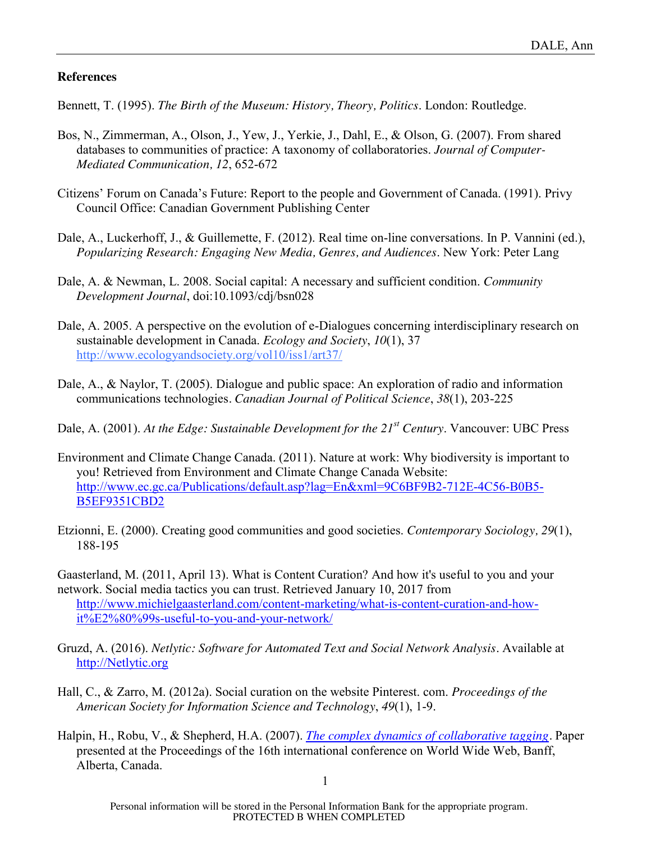## **References**

Bennett, T. (1995). *The Birth of the Museum: History, Theory, Politics*. London: Routledge.

- Bos, N., Zimmerman, A., Olson, J., Yew, J., Yerkie, J., Dahl, E., & Olson, G. (2007). From shared databases to communities of practice: A taxonomy of collaboratories. *Journal of Computer-Mediated Communication, 12*, 652-672
- Citizens' Forum on Canada's Future: Report to the people and Government of Canada. (1991). Privy Council Office: Canadian Government Publishing Center
- Dale, A., Luckerhoff, J., & Guillemette, F. (2012). Real time on-line conversations. In P. Vannini (ed.), *Popularizing Research: Engaging New Media, Genres, and Audiences*. New York: Peter Lang
- Dale, A. & Newman, L. 2008. Social capital: A necessary and sufficient condition. *Community Development Journal*, doi:10.1093/cdj/bsn028
- Dale, A. 2005. A perspective on the evolution of e-Dialogues concerning interdisciplinary research on sustainable development in Canada. *Ecology and Society*, *10*(1), 37 http://www.ecologyandsociety.org/vol10/iss1/art37/
- Dale, A., & Naylor, T. (2005). Dialogue and public space: An exploration of radio and information communications technologies*. Canadian Journal of Political Science*, *38*(1), 203-225
- Dale, A. (2001). *At the Edge: Sustainable Development for the 21st Century*. Vancouver: UBC Press
- Environment and Climate Change Canada. (2011). Nature at work: Why biodiversity is important to you! Retrieved from Environment and Climate Change Canada Website: http://www.ec.gc.ca/Publications/default.asp?lag=En&xml=9C6BF9B2-712E-4C56-B0B5- B5EF9351CBD2
- Etzionni, E. (2000). Creating good communities and good societies. *Contemporary Sociology, 29*(1), 188-195

Gaasterland, M. (2011, April 13). What is Content Curation? And how it's useful to you and your network. Social media tactics you can trust. Retrieved January 10, 2017 from http://www.michielgaasterland.com/content-marketing/what-is-content-curation-and-howit%E2%80%99s-useful-to-you-and-your-network/

- Gruzd, A. (2016). *Netlytic: Software for Automated Text and Social Network Analysis.* Available at http://Netlytic.org
- Hall, C., & Zarro, M. (2012a). Social curation on the website Pinterest. com. *Proceedings of the American Society for Information Science and Technology*, *49*(1), 1-9.
- Halpin, H., Robu, V., & Shepherd, H.A. (2007). *The complex dynamics of collaborative tagging.* Paper presented at the Proceedings of the 16th international conference on World Wide Web, Banff, Alberta, Canada.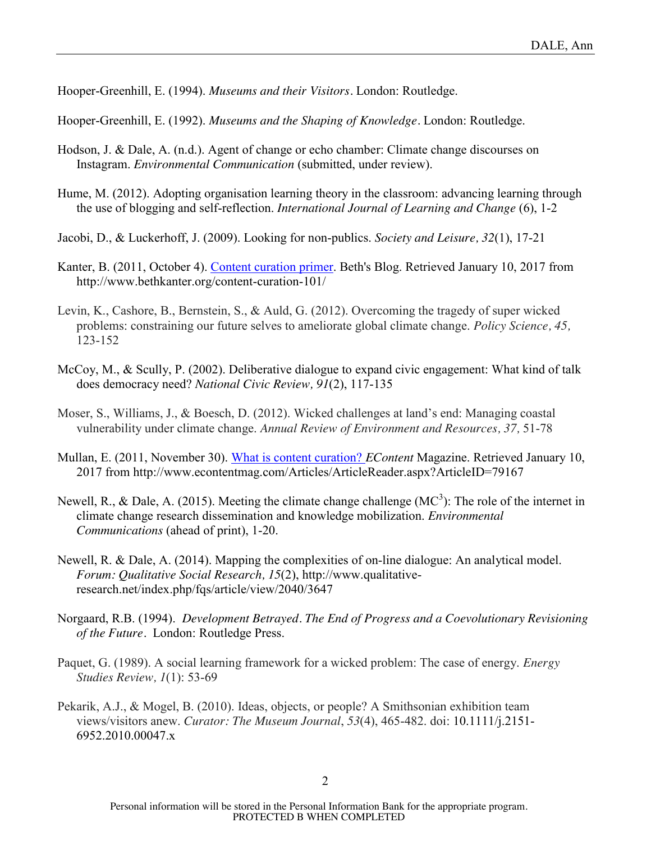Hooper-Greenhill, E. (1994). *Museums and their Visitors.* London: Routledge.

Hooper-Greenhill, E. (1992). *Museums and the Shaping of Knowledge.* London: Routledge.

- Hodson, J. & Dale, A. (n.d.). Agent of change or echo chamber: Climate change discourses on Instagram. *Environmental Communication* (submitted, under review).
- Hume, M. (2012). Adopting organisation learning theory in the classroom: advancing learning through the use of blogging and self-reflection. *International Journal of Learning and Change* (6), 1-2
- Jacobi, D., & Luckerhoff, J. (2009). Looking for non-publics. *Society and Leisure, 32*(1), 17-21
- Kanter, B. (2011, October 4). Content curation primer. Beth's Blog. Retrieved January 10, 2017 from http://www.bethkanter.org/content-curation-101/
- Levin, K., Cashore, B., Bernstein, S., & Auld, G. (2012). Overcoming the tragedy of super wicked problems: constraining our future selves to ameliorate global climate change. *Policy Science, 45,* 123-152
- McCoy, M., & Scully, P. (2002). Deliberative dialogue to expand civic engagement: What kind of talk does democracy need? *National Civic Review, 91*(2), 117-135
- Moser, S., Williams, J., & Boesch, D. (2012). Wicked challenges at land's end: Managing coastal vulnerability under climate change. *Annual Review of Environment and Resources, 37,* 51-78
- Mullan, E. (2011, November 30). What is content curation? *EContent* Magazine. Retrieved January 10, 2017 from http://www.econtentmag.com/Articles/ArticleReader.aspx?ArticleID=79167
- Newell, R., & Dale, A. (2015). Meeting the climate change challenge (MC<sup>3</sup>): The role of the internet in climate change research dissemination and knowledge mobilization. *Environmental Communications* (ahead of print), 1-20.
- Newell, R. & Dale, A. (2014). Mapping the complexities of on-line dialogue: An analytical model. *Forum: Qualitative Social Research, 15*(2), http://www.qualitativeresearch.net/index.php/fqs/article/view/2040/3647
- Norgaard, R.B. (1994). *Development Betrayed. The End of Progress and a Coevolutionary Revisioning of the Future.* London: Routledge Press.
- Paquet, G. (1989). A social learning framework for a wicked problem: The case of energy. *Energy Studies Review, 1*(1): 53-69
- Pekarik, A.J., & Mogel, B. (2010). Ideas, objects, or people? A Smithsonian exhibition team views/visitors anew. *Curator: The Museum Journal*, *53*(4), 465-482. doi: 10.1111/j.2151- 6952.2010.00047.x